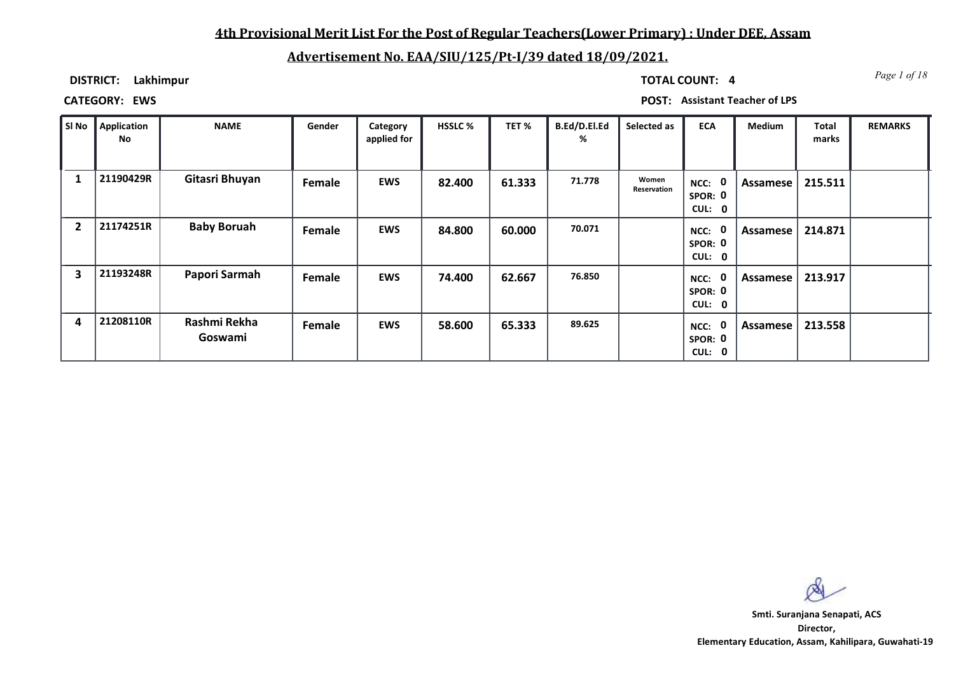## **4th Provisional Merit List For the Post of Regular Teachers(Lower Primary) : Under DEE, Assam**

# **Advertisement No. EAA/SIU/125/Pt-I/39 dated 18/09/2021.**

**DISTRICT: Lakhimpur**

*Page 1 of 18* **TOTAL COUNT: 4**

**CATEGORY: EWS POST: Assistant Teacher of LPS**

| ∥ SI No      | Application<br>No | <b>NAME</b>             | Gender | Category<br>applied for | <b>HSSLC %</b> | TET %  | B.Ed/D.El.Ed<br>% | Selected as          | <b>ECA</b>                               | Medium   | <b>Total</b><br>marks | <b>REMARKS</b> |
|--------------|-------------------|-------------------------|--------|-------------------------|----------------|--------|-------------------|----------------------|------------------------------------------|----------|-----------------------|----------------|
|              | 21190429R         | Gitasri Bhuyan          | Female | <b>EWS</b>              | 82.400         | 61.333 | 71.778            | Women<br>Reservation | $\mathbf 0$<br>NCC:<br>SPOR: 0<br>CUL: 0 | Assamese | 215.511               |                |
| $\mathbf{2}$ | 21174251R         | <b>Baby Boruah</b>      | Female | <b>EWS</b>              | 84.800         | 60.000 | 70.071            |                      | $\mathbf 0$<br>NCC:<br>SPOR: 0<br>CUL: 0 | Assamese | 214.871               |                |
| 3            | 21193248R         | Papori Sarmah           | Female | <b>EWS</b>              | 74.400         | 62.667 | 76.850            |                      | 0<br>NCC:<br>SPOR: 0<br>CUL: 0           | Assamese | 213.917               |                |
| 4            | 21208110R         | Rashmi Rekha<br>Goswami | Female | <b>EWS</b>              | 58.600         | 65.333 | 89.625            |                      | 0<br>NCC:<br>SPOR: 0<br>CUL: 0           | Assamese | 213.558               |                |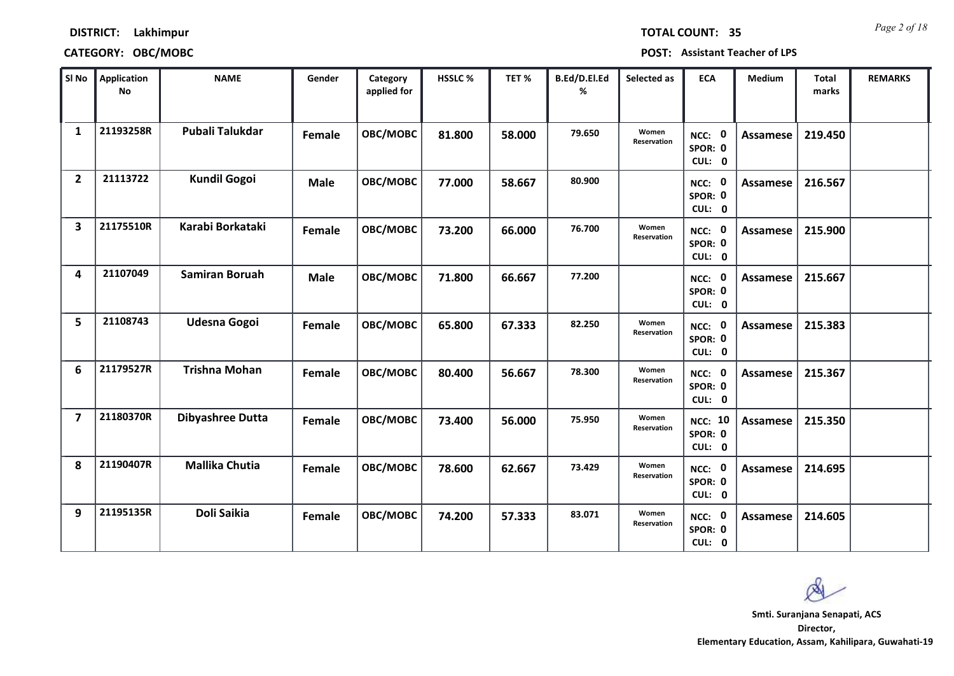### **CATEGORY: OBC/MOBC POST: Assistant Teacher of LPS**

| SI No                   | <b>Application</b><br>No | <b>NAME</b>             | Gender      | Category<br>applied for | <b>HSSLC%</b> | TET %  | B.Ed/D.El.Ed<br>% | Selected as          | <b>ECA</b>                          | <b>Medium</b>   | <b>Total</b><br>marks | <b>REMARKS</b> |
|-------------------------|--------------------------|-------------------------|-------------|-------------------------|---------------|--------|-------------------|----------------------|-------------------------------------|-----------------|-----------------------|----------------|
| 1                       | 21193258R                | <b>Pubali Talukdar</b>  | Female      | OBC/MOBC                | 81.800        | 58.000 | 79.650            | Women<br>Reservation | NCC: 0<br>SPOR: 0<br>CUL: 0         | <b>Assamese</b> | 219.450               |                |
| $\overline{2}$          | 21113722                 | <b>Kundil Gogoi</b>     | <b>Male</b> | OBC/MOBC                | 77.000        | 58.667 | 80.900            |                      | NCC: 0<br>SPOR: 0<br>CUL: 0         | Assamese        | 216.567               |                |
| 3                       | 21175510R                | Karabi Borkataki        | Female      | OBC/MOBC                | 73.200        | 66.000 | 76.700            | Women<br>Reservation | NCC: 0<br>SPOR: 0<br>CUL: 0         | Assamese        | 215.900               |                |
| 4                       | 21107049                 | <b>Samiran Boruah</b>   | <b>Male</b> | OBC/MOBC                | 71.800        | 66.667 | 77.200            |                      | NCC: 0<br>SPOR: 0<br>CUL: 0         | Assamese        | 215.667               |                |
| 5                       | 21108743                 | <b>Udesna Gogoi</b>     | Female      | OBC/MOBC                | 65.800        | 67.333 | 82.250            | Women<br>Reservation | NCC: 0<br>SPOR: 0<br>CUL: 0         | Assamese        | 215.383               |                |
| 6                       | 21179527R                | <b>Trishna Mohan</b>    | Female      | OBC/MOBC                | 80.400        | 56.667 | 78.300            | Women<br>Reservation | NCC: 0<br>SPOR: 0<br>CUL: 0         | Assamese        | 215.367               |                |
| $\overline{\mathbf{z}}$ | 21180370R                | <b>Dibyashree Dutta</b> | Female      | OBC/MOBC                | 73.400        | 56.000 | 75.950            | Women<br>Reservation | <b>NCC: 10</b><br>SPOR: 0<br>CUL: 0 | Assamese        | 215.350               |                |
| 8                       | 21190407R                | <b>Mallika Chutia</b>   | Female      | OBC/MOBC                | 78.600        | 62.667 | 73.429            | Women<br>Reservation | NCC: 0<br>SPOR: 0<br>CUL: 0         | <b>Assamese</b> | 214.695               |                |
| 9                       | 21195135R                | Doli Saikia             | Female      | OBC/MOBC                | 74.200        | 57.333 | 83.071            | Women<br>Reservation | NCC: 0<br>SPOR: 0<br>CUL: 0         | Assamese        | 214.605               |                |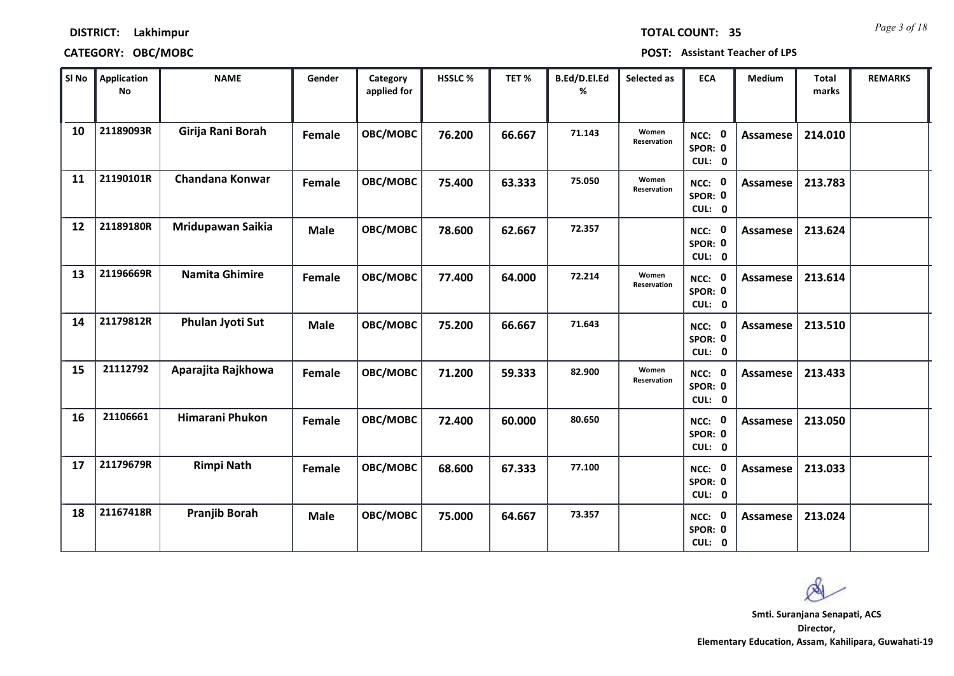| <b>TOTAL COUNT:</b> |  | 3 |
|---------------------|--|---|
|                     |  |   |

### **CATEGORY: OBC/MOBC POST: Assistant Teacher of LPS**

| SI No | <b>Application</b><br><b>No</b> | <b>NAME</b>           | Gender      | Category<br>applied for | HSSLC % | TET %  | <b>B.Ed/D.El.Ed</b><br>% | Selected as          | <b>ECA</b>                               | <b>Medium</b>   | <b>Total</b><br>marks | <b>REMARKS</b> |
|-------|---------------------------------|-----------------------|-------------|-------------------------|---------|--------|--------------------------|----------------------|------------------------------------------|-----------------|-----------------------|----------------|
| 10    | 21189093R                       | Girija Rani Borah     | Female      | OBC/MOBC                | 76.200  | 66.667 | 71.143                   | Women<br>Reservation | $\mathbf 0$<br>NCC:<br>SPOR: 0<br>CUL: 0 | <b>Assamese</b> | 214.010               |                |
| 11    | 21190101R                       | Chandana Konwar       | Female      | OBC/MOBC                | 75.400  | 63.333 | 75.050                   | Women<br>Reservation | NCC: 0<br>SPOR: 0<br>CUL: 0              | Assamese        | 213.783               |                |
| 12    | 21189180R                       | Mridupawan Saikia     | <b>Male</b> | OBC/MOBC                | 78.600  | 62.667 | 72.357                   |                      | NCC: 0<br>SPOR: 0<br>CUL: 0              | Assamese        | 213.624               |                |
| 13    | 21196669R                       | <b>Namita Ghimire</b> | Female      | OBC/MOBC                | 77.400  | 64.000 | 72.214                   | Women<br>Reservation | $\mathbf 0$<br>NCC:<br>SPOR: 0<br>CUL: 0 | <b>Assamese</b> | 213.614               |                |
| 14    | 21179812R                       | Phulan Jyoti Sut      | <b>Male</b> | OBC/MOBC                | 75.200  | 66.667 | 71.643                   |                      | NCC: 0<br>SPOR: 0<br>CUL: 0              | Assamese        | 213.510               |                |
| 15    | 21112792                        | Aparajita Rajkhowa    | Female      | OBC/MOBC                | 71.200  | 59.333 | 82.900                   | Women<br>Reservation | NCC: 0<br>SPOR: 0<br>CUL: 0              | <b>Assamese</b> | 213.433               |                |
| 16    | 21106661                        | Himarani Phukon       | Female      | <b>OBC/MOBC</b>         | 72.400  | 60.000 | 80.650                   |                      | NCC: 0<br>SPOR: 0<br>CUL: 0              | <b>Assamese</b> | 213.050               |                |
| 17    | 21179679R                       | <b>Rimpi Nath</b>     | Female      | OBC/MOBC                | 68.600  | 67.333 | 77.100                   |                      | NCC: 0<br>SPOR: 0<br>CUL: 0              | <b>Assamese</b> | 213.033               |                |
| 18    | 21167418R                       | <b>Pranjib Borah</b>  | <b>Male</b> | OBC/MOBC                | 75.000  | 64.667 | 73.357                   |                      | $\mathbf 0$<br>NCC:<br>SPOR: 0<br>CUL: 0 | <b>Assamese</b> | 213.024               |                |

 $\infty$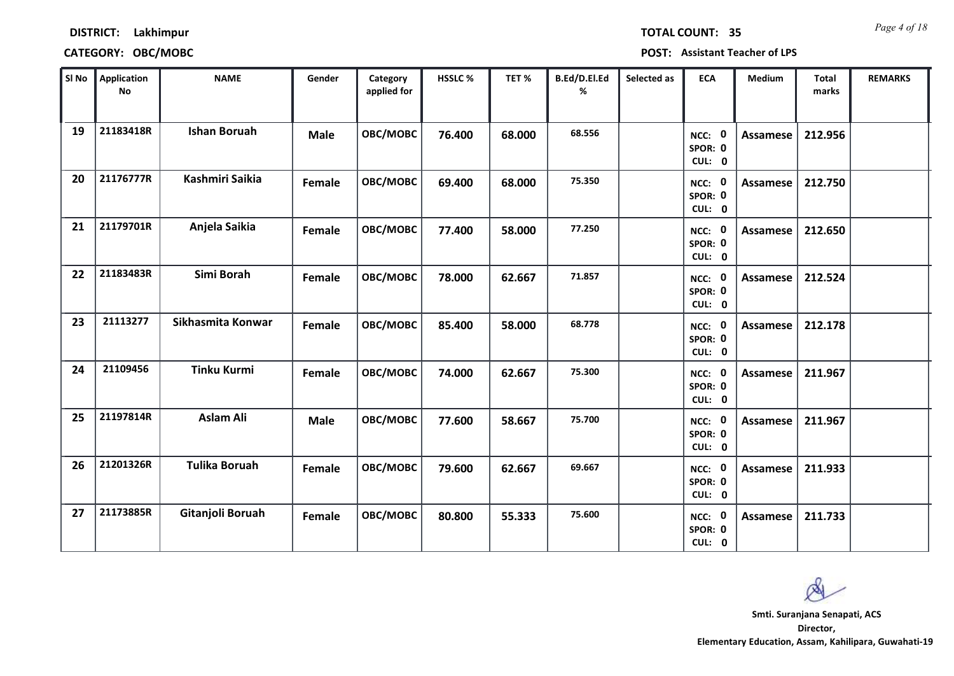### **CATEGORY: OBC/MOBC POST: Assistant Teacher of LPS**

| SI No | <b>Application</b><br>No | <b>NAME</b>          | Gender      | Category<br>applied for | <b>HSSLC%</b> | TET %  | B.Ed/D.El.Ed<br>% | Selected as | <b>ECA</b>                     | <b>Medium</b>   | Total<br>marks | <b>REMARKS</b> |
|-------|--------------------------|----------------------|-------------|-------------------------|---------------|--------|-------------------|-------------|--------------------------------|-----------------|----------------|----------------|
| 19    | 21183418R                | <b>Ishan Boruah</b>  | <b>Male</b> | OBC/MOBC                | 76.400        | 68.000 | 68.556            |             | 0<br>NCC:<br>SPOR: 0<br>CUL: 0 | <b>Assamese</b> | 212.956        |                |
| 20    | 21176777R                | Kashmiri Saikia      | Female      | OBC/MOBC                | 69.400        | 68.000 | 75.350            |             | 0<br>NCC:<br>SPOR: 0<br>CUL: 0 | Assamese        | 212.750        |                |
| 21    | 21179701R                | Anjela Saikia        | Female      | OBC/MOBC                | 77.400        | 58.000 | 77.250            |             | NCC: 0<br>SPOR: 0<br>CUL: 0    | Assamese        | 212.650        |                |
| 22    | 21183483R                | Simi Borah           | Female      | OBC/MOBC                | 78.000        | 62.667 | 71.857            |             | NCC: 0<br>SPOR: 0<br>CUL: 0    | Assamese        | 212.524        |                |
| 23    | 21113277                 | Sikhasmita Konwar    | Female      | OBC/MOBC                | 85.400        | 58.000 | 68.778            |             | NCC: 0<br>SPOR: 0<br>CUL: 0    | Assamese        | 212.178        |                |
| 24    | 21109456                 | <b>Tinku Kurmi</b>   | Female      | OBC/MOBC                | 74.000        | 62.667 | 75.300            |             | NCC: 0<br>SPOR: 0<br>CUL: 0    | Assamese        | 211.967        |                |
| 25    | 21197814R                | <b>Aslam Ali</b>     | <b>Male</b> | OBC/MOBC                | 77.600        | 58.667 | 75.700            |             | NCC: 0<br>SPOR: 0<br>CUL: 0    | Assamese        | 211.967        |                |
| 26    | 21201326R                | <b>Tulika Boruah</b> | Female      | OBC/MOBC                | 79.600        | 62.667 | 69.667            |             | NCC: 0<br>SPOR: 0<br>CUL: 0    | Assamese        | 211.933        |                |
| 27    | 21173885R                | Gitanjoli Boruah     | Female      | OBC/MOBC                | 80.800        | 55.333 | 75.600            |             | NCC: 0<br>SPOR: 0<br>CUL: 0    | Assamese        | 211.733        |                |

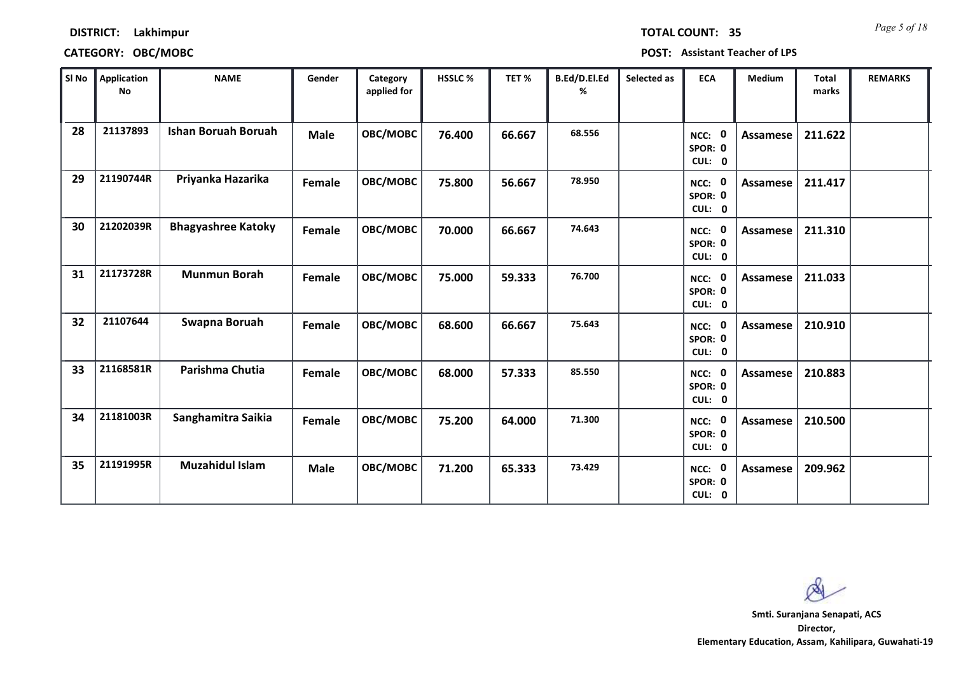| <b>TOTAL COUNT:</b> |  |  | 3 |
|---------------------|--|--|---|
|                     |  |  |   |

### **CATEGORY: OBC/MOBC POST: Assistant Teacher of LPS**

| SI No | Application<br><b>No</b> | <b>NAME</b>                | Gender      | Category<br>applied for | HSSLC % | TET%   | B.Ed/D.El.Ed<br>% | Selected as | <b>ECA</b>                                | <b>Medium</b> | Total<br>marks | <b>REMARKS</b> |
|-------|--------------------------|----------------------------|-------------|-------------------------|---------|--------|-------------------|-------------|-------------------------------------------|---------------|----------------|----------------|
| 28    | 21137893                 | <b>Ishan Boruah Boruah</b> | <b>Male</b> | OBC/MOBC                | 76.400  | 66.667 | 68.556            |             | NCC: 0<br>SPOR: 0<br>CUL: 0               | Assamese      | 211.622        |                |
| 29    | 21190744R                | Priyanka Hazarika          | Female      | OBC/MOBC                | 75.800  | 56.667 | 78.950            |             | NCC: 0<br>SPOR: 0<br>CUL: 0               | Assamese      | 211.417        |                |
| 30    | 21202039R                | <b>Bhagyashree Katoky</b>  | Female      | OBC/MOBC                | 70.000  | 66.667 | 74.643            |             | NCC: 0<br>SPOR: 0<br>CUL: 0               | Assamese      | 211.310        |                |
| 31    | 21173728R                | <b>Munmun Borah</b>        | Female      | OBC/MOBC                | 75.000  | 59.333 | 76.700            |             | $\mathbf{0}$<br>NCC:<br>SPOR: 0<br>CUL: 0 | Assamese      | 211.033        |                |
| 32    | 21107644                 | Swapna Boruah              | Female      | OBC/MOBC                | 68.600  | 66.667 | 75.643            |             | NCC: 0<br>SPOR: 0<br>CUL: 0               | Assamese      | 210.910        |                |
| 33    | 21168581R                | Parishma Chutia            | Female      | OBC/MOBC                | 68.000  | 57.333 | 85.550            |             | NCC: 0<br>SPOR: 0<br>CUL: 0               | Assamese      | 210.883        |                |
| 34    | 21181003R                | Sanghamitra Saikia         | Female      | OBC/MOBC                | 75.200  | 64.000 | 71.300            |             | 0<br>NCC:<br>SPOR: 0<br>CUL: 0            | Assamese      | 210.500        |                |
| 35    | 21191995R                | <b>Muzahidul Islam</b>     | <b>Male</b> | OBC/MOBC                | 71.200  | 65.333 | 73.429            |             | NCC: 0<br>SPOR: 0<br>CUL: 0               | Assamese      | 209.962        |                |

 $\infty$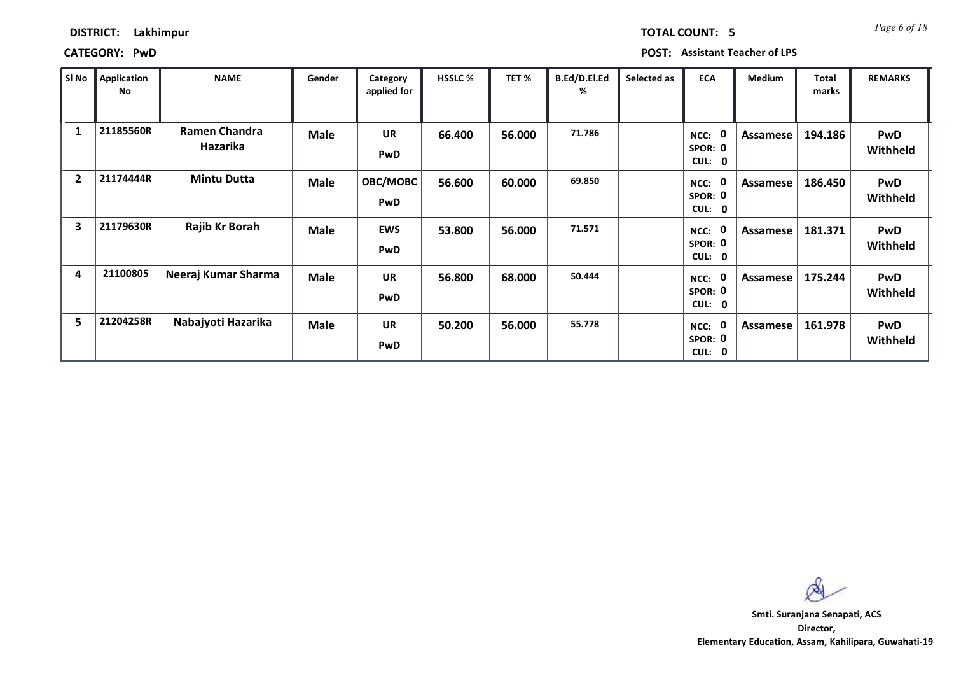# **CATEGORY: PwD POST: Assistant Teacher of LPS**

| SI No                   | <b>Application</b><br>No | <b>NAME</b>                      | Gender      | Category<br>applied for | <b>HSSLC %</b> | TET %  | B.Ed/D.El.Ed<br>% | Selected as | <b>ECA</b>                        | <b>Medium</b> | Total<br>marks | <b>REMARKS</b>         |
|-------------------------|--------------------------|----------------------------------|-------------|-------------------------|----------------|--------|-------------------|-------------|-----------------------------------|---------------|----------------|------------------------|
| 1                       | 21185560R                | Ramen Chandra<br><b>Hazarika</b> | <b>Male</b> | <b>UR</b><br><b>PwD</b> | 66.400         | 56.000 | 71.786            |             | 0<br>NCC:<br>SPOR: 0<br>CUL: 0    | Assamese      | 194.186        | <b>PwD</b><br>Withheld |
| $\overline{2}$          | 21174444R                | <b>Mintu Dutta</b>               | <b>Male</b> | OBC/MOBC<br><b>PwD</b>  | 56.600         | 60.000 | 69.850            |             | 0<br>NCC:<br>SPOR: 0<br>CUL:<br>0 | Assamese      | 186.450        | <b>PwD</b><br>Withheld |
| $\overline{\mathbf{3}}$ | 21179630R                | Rajib Kr Borah                   | <b>Male</b> | <b>EWS</b><br>PwD       | 53.800         | 56.000 | 71.571            |             | 0<br>NCC:<br>SPOR: 0<br>CUL: 0    | Assamese      | 181.371        | <b>PwD</b><br>Withheld |
| 4                       | 21100805                 | Neeraj Kumar Sharma              | <b>Male</b> | <b>UR</b><br>PwD        | 56.800         | 68.000 | 50.444            |             | 0<br>NCC:<br>SPOR: 0<br>CUL: 0    | Assamese      | 175.244        | <b>PwD</b><br>Withheld |
| 5                       | 21204258R                | Nabajyoti Hazarika               | <b>Male</b> | <b>UR</b><br><b>PwD</b> | 50.200         | 56.000 | 55.778            |             | 0<br>NCC:<br>SPOR: 0<br>CUL: 0    | Assamese      | 161.978        | <b>PwD</b><br>Withheld |

Ø

**Director, Elementary Education, Assam, Kahilipara, Guwahati-19 Smti. Suranjana Senapati, ACS**

*Page 6 of 18* **TOTAL COUNT: 5**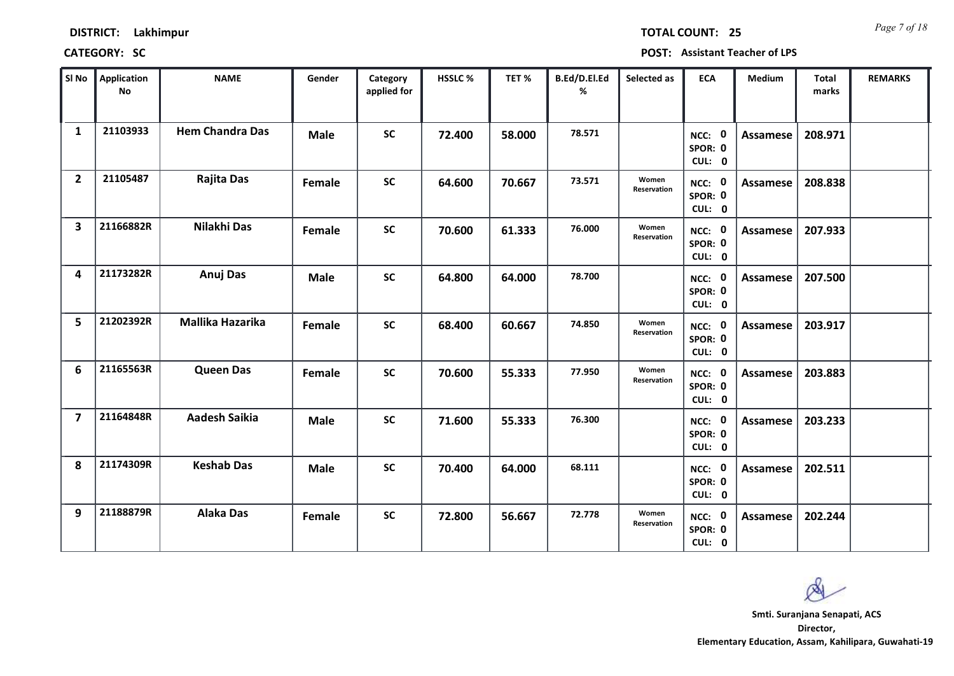*Page 7 of 18* **TOTAL COUNT: 25**

| SI No                   | Application<br>No | <b>NAME</b>            | Gender      | Category<br>applied for | <b>HSSLC %</b> | TET %  | B.Ed/D.El.Ed<br>% | Selected as          | <b>ECA</b>                  | <b>Medium</b>   | <b>Total</b><br>marks | <b>REMARKS</b> |
|-------------------------|-------------------|------------------------|-------------|-------------------------|----------------|--------|-------------------|----------------------|-----------------------------|-----------------|-----------------------|----------------|
| $\mathbf{1}$            | 21103933          | <b>Hem Chandra Das</b> | <b>Male</b> | <b>SC</b>               | 72.400         | 58.000 | 78.571            |                      | NCC: 0<br>SPOR: 0<br>CUL: 0 | <b>Assamese</b> | 208.971               |                |
| $\overline{2}$          | 21105487          | <b>Rajita Das</b>      | Female      | <b>SC</b>               | 64.600         | 70.667 | 73.571            | Women<br>Reservation | NCC: 0<br>SPOR: 0<br>CUL: 0 | Assamese        | 208.838               |                |
| $\overline{\mathbf{3}}$ | 21166882R         | Nilakhi Das            | Female      | <b>SC</b>               | 70.600         | 61.333 | 76.000            | Women<br>Reservation | NCC: 0<br>SPOR: 0<br>CUL: 0 | <b>Assamese</b> | 207.933               |                |
| 4                       | 21173282R         | Anuj Das               | <b>Male</b> | <b>SC</b>               | 64.800         | 64.000 | 78.700            |                      | NCC: 0<br>SPOR: 0<br>CUL: 0 | <b>Assamese</b> | 207.500               |                |
| 5                       | 21202392R         | Mallika Hazarika       | Female      | <b>SC</b>               | 68.400         | 60.667 | 74.850            | Women<br>Reservation | NCC: 0<br>SPOR: 0<br>CUL: 0 | <b>Assamese</b> | 203.917               |                |
| 6                       | 21165563R         | <b>Queen Das</b>       | Female      | <b>SC</b>               | 70.600         | 55.333 | 77.950            | Women<br>Reservation | NCC: 0<br>SPOR: 0<br>CUL: 0 | <b>Assamese</b> | 203.883               |                |
| $\overline{\mathbf{z}}$ | 21164848R         | <b>Aadesh Saikia</b>   | <b>Male</b> | <b>SC</b>               | 71.600         | 55.333 | 76.300            |                      | NCC: 0<br>SPOR: 0<br>CUL: 0 | <b>Assamese</b> | 203.233               |                |
| 8                       | 21174309R         | <b>Keshab Das</b>      | <b>Male</b> | <b>SC</b>               | 70.400         | 64.000 | 68.111            |                      | NCC: 0<br>SPOR: 0<br>CUL: 0 | <b>Assamese</b> | 202.511               |                |
| 9                       | 21188879R         | <b>Alaka Das</b>       | Female      | <b>SC</b>               | 72.800         | 56.667 | 72.778            | Women<br>Reservation | NCC: 0<br>SPOR: 0<br>CUL: 0 | Assamese        | 202.244               |                |

Ø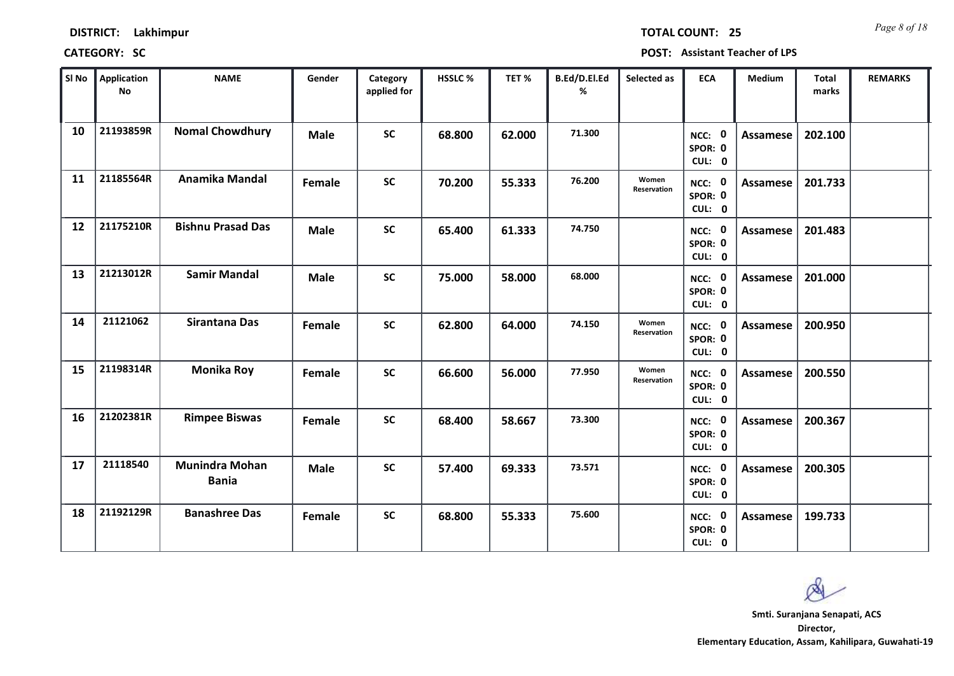*Page 8 of 18* **TOTAL COUNT: 25**

| SI No | <b>Application</b><br>No | <b>NAME</b>                           | Gender      | Category<br>applied for | <b>HSSLC%</b> | TET %  | B.Ed/D.El.Ed<br>% | Selected as          | <b>ECA</b>                  | <b>Medium</b>   | <b>Total</b><br>marks | <b>REMARKS</b> |
|-------|--------------------------|---------------------------------------|-------------|-------------------------|---------------|--------|-------------------|----------------------|-----------------------------|-----------------|-----------------------|----------------|
| 10    | 21193859R                | <b>Nomal Chowdhury</b>                | <b>Male</b> | <b>SC</b>               | 68.800        | 62.000 | 71.300            |                      | NCC: 0<br>SPOR: 0<br>CUL: 0 | <b>Assamese</b> | 202.100               |                |
| 11    | 21185564R                | Anamika Mandal                        | Female      | <b>SC</b>               | 70.200        | 55.333 | 76.200            | Women<br>Reservation | NCC: 0<br>SPOR: 0<br>CUL: 0 | Assamese        | 201.733               |                |
| 12    | 21175210R                | <b>Bishnu Prasad Das</b>              | <b>Male</b> | <b>SC</b>               | 65.400        | 61.333 | 74.750            |                      | NCC: 0<br>SPOR: 0<br>CUL: 0 | <b>Assamese</b> | 201.483               |                |
| 13    | 21213012R                | <b>Samir Mandal</b>                   | <b>Male</b> | <b>SC</b>               | 75.000        | 58.000 | 68.000            |                      | NCC: 0<br>SPOR: 0<br>CUL: 0 | Assamese        | 201.000               |                |
| 14    | 21121062                 | Sirantana Das                         | Female      | <b>SC</b>               | 62.800        | 64.000 | 74.150            | Women<br>Reservation | NCC: 0<br>SPOR: 0<br>CUL: 0 | Assamese        | 200.950               |                |
| 15    | 21198314R                | <b>Monika Roy</b>                     | Female      | <b>SC</b>               | 66.600        | 56.000 | 77.950            | Women<br>Reservation | NCC: 0<br>SPOR: 0<br>CUL: 0 | Assamese        | 200.550               |                |
| 16    | 21202381R                | <b>Rimpee Biswas</b>                  | Female      | <b>SC</b>               | 68.400        | 58.667 | 73.300            |                      | NCC: 0<br>SPOR: 0<br>CUL: 0 | Assamese        | 200.367               |                |
| 17    | 21118540                 | <b>Munindra Mohan</b><br><b>Bania</b> | <b>Male</b> | <b>SC</b>               | 57.400        | 69.333 | 73.571            |                      | NCC: 0<br>SPOR: 0<br>CUL: 0 | <b>Assamese</b> | 200.305               |                |
| 18    | 21192129R                | <b>Banashree Das</b>                  | Female      | <b>SC</b>               | 68.800        | 55.333 | 75.600            |                      | NCC: 0<br>SPOR: 0<br>CUL: 0 | Assamese        | 199.733               |                |

 $\infty$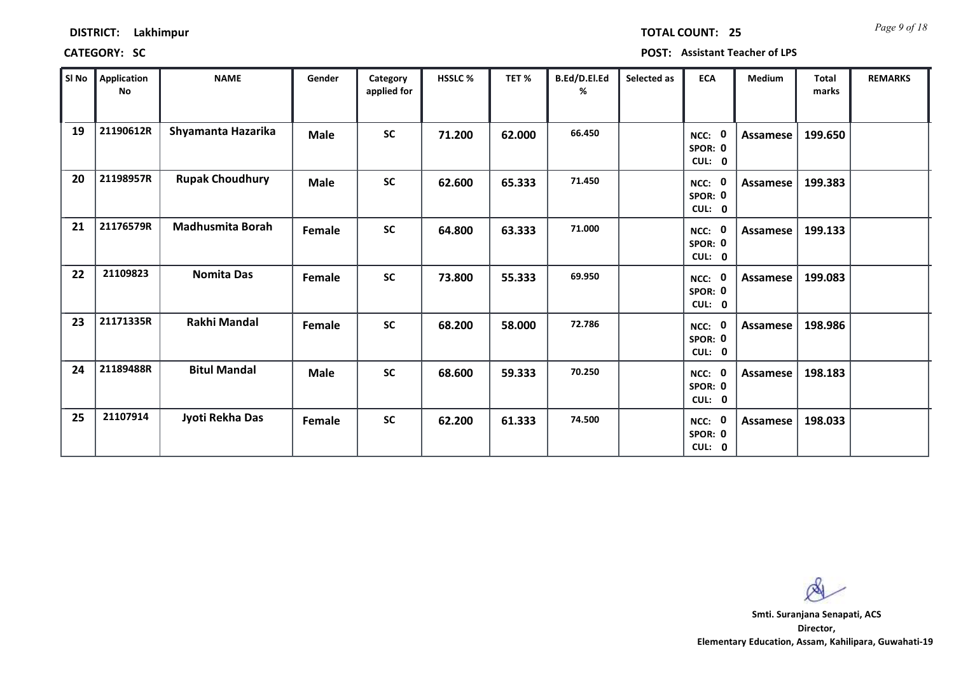*Page 9 of 18* **TOTAL COUNT: 25**

**CATEGORY: SC POST: Assistant Teacher of LPS**

| SI No | <b>Application</b><br>No | <b>NAME</b>             | Gender      | Category<br>applied for | HSSLC % | TET %  | B.Ed/D.El.Ed<br>% | Selected as | <b>ECA</b>                       | Medium          | <b>Total</b><br>marks | <b>REMARKS</b> |
|-------|--------------------------|-------------------------|-------------|-------------------------|---------|--------|-------------------|-------------|----------------------------------|-----------------|-----------------------|----------------|
| 19    | 21190612R                | Shyamanta Hazarika      | <b>Male</b> | <b>SC</b>               | 71.200  | 62.000 | 66.450            |             | - 0<br>NCC:<br>SPOR: 0<br>CUL: 0 | Assamese        | 199.650               |                |
| 20    | 21198957R                | <b>Rupak Choudhury</b>  | <b>Male</b> | <b>SC</b>               | 62.600  | 65.333 | 71.450            |             | NCC: 0<br>SPOR: 0<br>CUL: 0      | Assamese        | 199.383               |                |
| 21    | 21176579R                | <b>Madhusmita Borah</b> | Female      | <b>SC</b>               | 64.800  | 63.333 | 71.000            |             | NCC: 0<br>SPOR: 0<br>CUL: 0      | Assamese        | 199.133               |                |
| 22    | 21109823                 | <b>Nomita Das</b>       | Female      | <b>SC</b>               | 73.800  | 55.333 | 69.950            |             | - 0<br>NCC:<br>SPOR: 0<br>CUL: 0 | Assamese        | 199.083               |                |
| 23    | 21171335R                | Rakhi Mandal            | Female      | <b>SC</b>               | 68.200  | 58.000 | 72.786            |             | NCC: 0<br>SPOR: 0<br>CUL: 0      | Assamese        | 198.986               |                |
| 24    | 21189488R                | <b>Bitul Mandal</b>     | <b>Male</b> | <b>SC</b>               | 68.600  | 59.333 | 70.250            |             | NCC: 0<br>SPOR: 0<br>CUL: 0      | Assamese        | 198.183               |                |
| 25    | 21107914                 | Jyoti Rekha Das         | Female      | <b>SC</b>               | 62.200  | 61.333 | 74.500            |             | NCC: 0<br>SPOR: 0<br>CUL: 0      | <b>Assamese</b> | 198.033               |                |

 $\infty$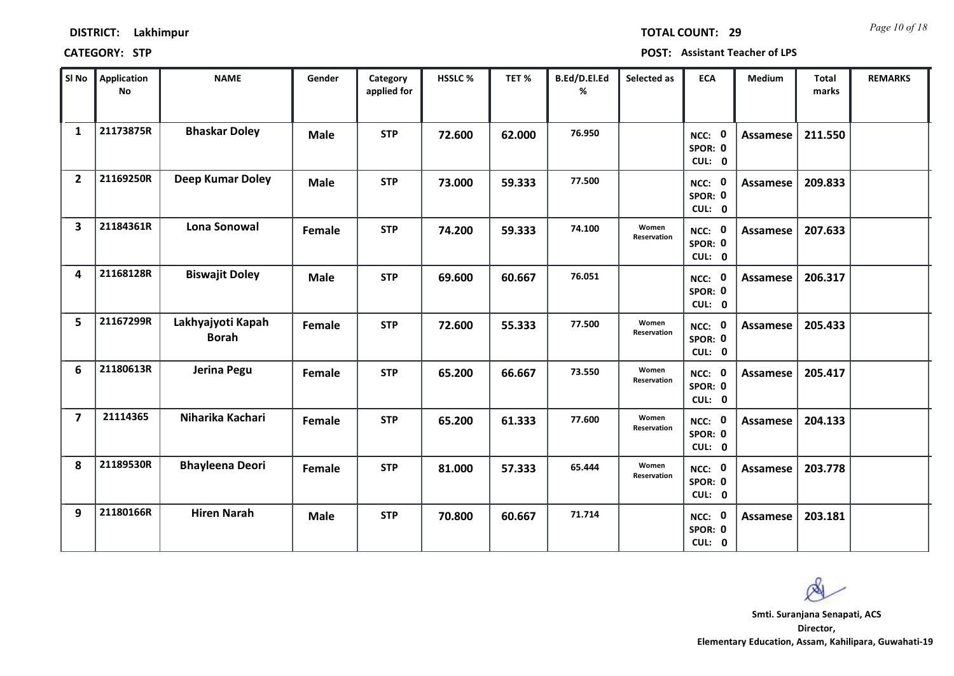| <b>DISTRICT:</b> | Lakhimpur |
|------------------|-----------|
|------------------|-----------|

*Page 10 of 18* **TOTAL COUNT: 29**

| SI No                   | <b>Application</b><br><b>No</b> | <b>NAME</b>                       | Gender      | Category<br>applied for | HSSLC % | TET%   | B.Ed/D.El.Ed<br>% | Selected as          | <b>ECA</b>                  | <b>Medium</b>   | <b>Total</b><br>marks | <b>REMARKS</b> |
|-------------------------|---------------------------------|-----------------------------------|-------------|-------------------------|---------|--------|-------------------|----------------------|-----------------------------|-----------------|-----------------------|----------------|
| $\mathbf{1}$            | 21173875R                       | <b>Bhaskar Doley</b>              | <b>Male</b> | <b>STP</b>              | 72.600  | 62.000 | 76.950            |                      | NCC: 0<br>SPOR: 0<br>CUL: 0 | <b>Assamese</b> | 211.550               |                |
| $\overline{2}$          | 21169250R                       | Deep Kumar Doley                  | <b>Male</b> | <b>STP</b>              | 73.000  | 59.333 | 77.500            |                      | NCC: 0<br>SPOR: 0<br>CUL: 0 | <b>Assamese</b> | 209.833               |                |
| $\overline{\mathbf{3}}$ | 21184361R                       | <b>Lona Sonowal</b>               | Female      | <b>STP</b>              | 74.200  | 59.333 | 74.100            | Women<br>Reservation | NCC: 0<br>SPOR: 0<br>CUL: 0 | <b>Assamese</b> | 207.633               |                |
| 4                       | 21168128R                       | <b>Biswajit Doley</b>             | <b>Male</b> | <b>STP</b>              | 69.600  | 60.667 | 76.051            |                      | NCC: 0<br>SPOR: 0<br>CUL: 0 | <b>Assamese</b> | 206.317               |                |
| 5                       | 21167299R                       | Lakhyajyoti Kapah<br><b>Borah</b> | Female      | <b>STP</b>              | 72.600  | 55.333 | 77.500            | Women<br>Reservation | NCC: 0<br>SPOR: 0<br>CUL: 0 | <b>Assamese</b> | 205.433               |                |
| 6                       | 21180613R                       | Jerina Pegu                       | Female      | <b>STP</b>              | 65.200  | 66.667 | 73.550            | Women<br>Reservation | NCC: 0<br>SPOR: 0<br>CUL: 0 | <b>Assamese</b> | 205.417               |                |
| $\overline{7}$          | 21114365                        | Niharika Kachari                  | Female      | <b>STP</b>              | 65.200  | 61.333 | 77.600            | Women<br>Reservation | NCC: 0<br>SPOR: 0<br>CUL: 0 | Assamese        | 204.133               |                |
| 8                       | 21189530R                       | <b>Bhayleena Deori</b>            | Female      | <b>STP</b>              | 81.000  | 57.333 | 65.444            | Women<br>Reservation | NCC: 0<br>SPOR: 0<br>CUL: 0 | <b>Assamese</b> | 203.778               |                |
| 9                       | 21180166R                       | <b>Hiren Narah</b>                | <b>Male</b> | <b>STP</b>              | 70.800  | 60.667 | 71.714            |                      | NCC: 0<br>SPOR: 0<br>CUL: 0 | Assamese        | 203.181               |                |

 $\infty$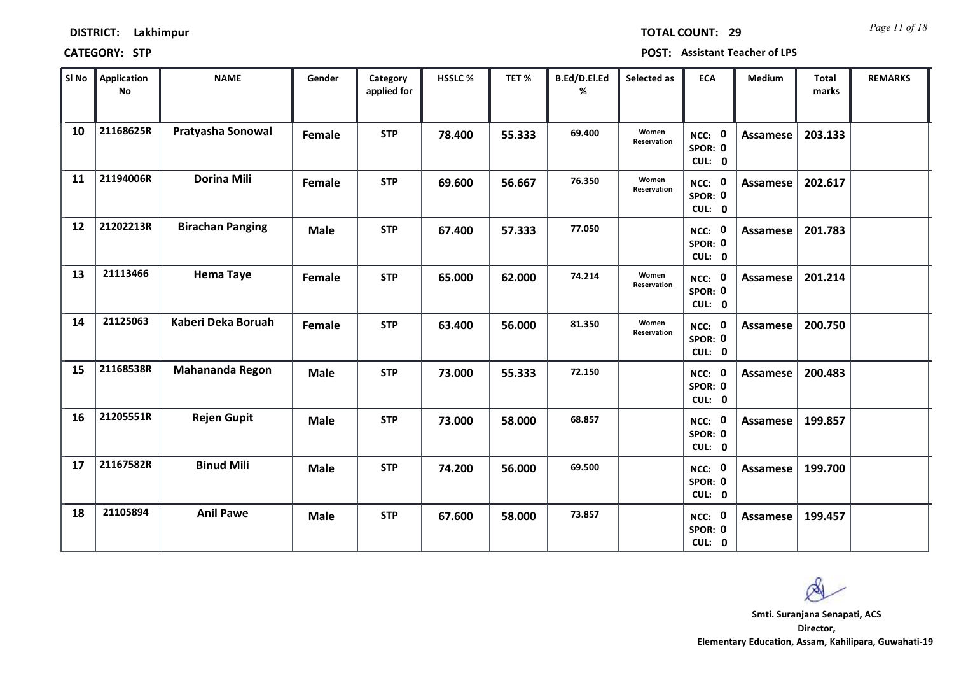**0 CUL:**

**0 SPOR: 0 CUL:**

**NCC:**

| Sl No | <b>Application</b><br>No | <b>NAME</b>             | Gender      | Category<br>applied for | <b>HSSLC%</b> | TET%   | B.Ed/D.El.Ed<br>% | Selected as          | <b>ECA</b>                               | Medium          | Total<br>marks | <b>REMARKS</b> |
|-------|--------------------------|-------------------------|-------------|-------------------------|---------------|--------|-------------------|----------------------|------------------------------------------|-----------------|----------------|----------------|
| 10    | 21168625R                | Pratyasha Sonowal       | Female      | <b>STP</b>              | 78.400        | 55.333 | 69.400            | Women<br>Reservation | $\mathbf 0$<br>NCC:<br>SPOR: 0<br>CUL: 0 | <b>Assamese</b> | 203.133        |                |
| 11    | 21194006R                | <b>Dorina Mili</b>      | Female      | <b>STP</b>              | 69.600        | 56.667 | 76.350            | Women<br>Reservation | $\mathbf 0$<br>NCC:<br>SPOR: 0<br>CUL: 0 | Assamese        | 202.617        |                |
| 12    | 21202213R                | <b>Birachan Panging</b> | <b>Male</b> | <b>STP</b>              | 67.400        | 57.333 | 77.050            |                      | $\mathbf 0$<br>NCC:<br>SPOR: 0<br>CUL: 0 | Assamese        | 201.783        |                |
| 13    | 21113466                 | <b>Hema Taye</b>        | Female      | <b>STP</b>              | 65.000        | 62.000 | 74.214            | Women<br>Reservation | NCC: 0<br>SPOR: 0<br>CUL: 0              | Assamese        | 201.214        |                |
| 14    | 21125063                 | Kaberi Deka Boruah      | Female      | <b>STP</b>              | 63.400        | 56.000 | 81.350            | Women<br>Reservation | $\mathbf 0$<br>NCC:<br>SPOR: 0<br>CUL: 0 | Assamese        | 200.750        |                |
| 15    | 21168538R                | <b>Mahananda Regon</b>  | <b>Male</b> | <b>STP</b>              | 73.000        | 55.333 | 72.150            |                      | $\mathbf 0$<br>NCC:<br>SPOR: 0<br>CUL: 0 | Assamese        | 200.483        |                |
| 16    | 21205551R                | <b>Rejen Gupit</b>      | <b>Male</b> | <b>STP</b>              | 73.000        | 58.000 | 68.857            |                      | $\mathbf 0$<br>NCC:<br>SPOR: 0<br>CUL: 0 | Assamese        | 199.857        |                |
| 17    | 21167582R                | <b>Binud Mili</b>       | <b>Male</b> | <b>STP</b>              | 74.200        | 56.000 | 69.500            |                      | - 0<br>NCC:<br>SPOR: 0                   | <b>Assamese</b> | 199.700        |                |

**18 21105894 Anil Pawe Male STP 67.600 58.000 73.857 0 Assamese 199.457**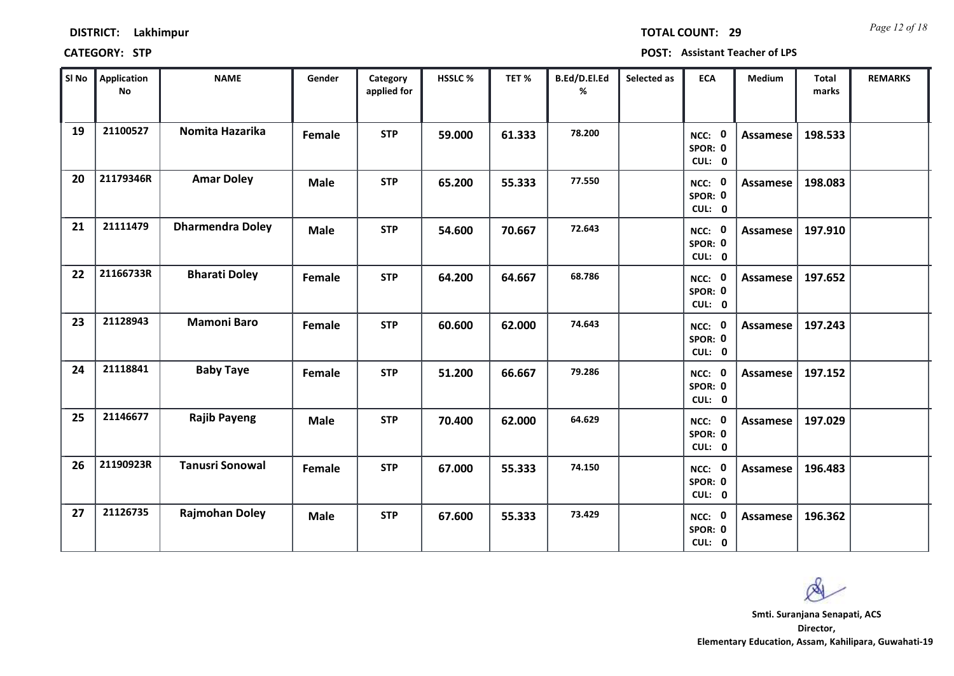| <b>DISTRICT:</b> | Lakhimpur |
|------------------|-----------|
|------------------|-----------|

*Page 12 of 18* **TOTAL COUNT: 29**

| SI No | Application<br>No | <b>NAME</b>             | Gender      | Category<br>applied for | <b>HSSLC %</b> | TET %  | B.Ed/D.El.Ed<br>% | Selected as | <b>ECA</b>                  | <b>Medium</b>   | <b>Total</b><br>marks | <b>REMARKS</b> |
|-------|-------------------|-------------------------|-------------|-------------------------|----------------|--------|-------------------|-------------|-----------------------------|-----------------|-----------------------|----------------|
| 19    | 21100527          | Nomita Hazarika         | Female      | <b>STP</b>              | 59.000         | 61.333 | 78.200            |             | NCC: 0<br>SPOR: 0<br>CUL: 0 | Assamese        | 198.533               |                |
| 20    | 21179346R         | <b>Amar Doley</b>       | <b>Male</b> | <b>STP</b>              | 65.200         | 55.333 | 77.550            |             | NCC: 0<br>SPOR: 0<br>CUL: 0 | Assamese        | 198.083               |                |
| 21    | 21111479          | <b>Dharmendra Doley</b> | <b>Male</b> | <b>STP</b>              | 54.600         | 70.667 | 72.643            |             | NCC: 0<br>SPOR: 0<br>CUL: 0 | Assamese        | 197.910               |                |
| 22    | 21166733R         | <b>Bharati Doley</b>    | Female      | <b>STP</b>              | 64.200         | 64.667 | 68.786            |             | NCC: 0<br>SPOR: 0<br>CUL: 0 | Assamese        | 197.652               |                |
| 23    | 21128943          | <b>Mamoni Baro</b>      | Female      | <b>STP</b>              | 60.600         | 62.000 | 74.643            |             | NCC: 0<br>SPOR: 0<br>CUL: 0 | Assamese        | 197.243               |                |
| 24    | 21118841          | <b>Baby Taye</b>        | Female      | <b>STP</b>              | 51.200         | 66.667 | 79.286            |             | NCC: 0<br>SPOR: 0<br>CUL: 0 | <b>Assamese</b> | 197.152               |                |
| 25    | 21146677          | <b>Rajib Payeng</b>     | <b>Male</b> | <b>STP</b>              | 70.400         | 62.000 | 64.629            |             | NCC: 0<br>SPOR: 0<br>CUL: 0 | Assamese        | 197.029               |                |
| 26    | 21190923R         | <b>Tanusri Sonowal</b>  | Female      | <b>STP</b>              | 67.000         | 55.333 | 74.150            |             | NCC: 0<br>SPOR: 0<br>CUL: 0 | <b>Assamese</b> | 196.483               |                |
| 27    | 21126735          | <b>Rajmohan Doley</b>   | <b>Male</b> | <b>STP</b>              | 67.600         | 55.333 | 73.429            |             | NCC: 0<br>SPOR: 0<br>CUL: 0 | Assamese        | 196.362               |                |

 $\infty$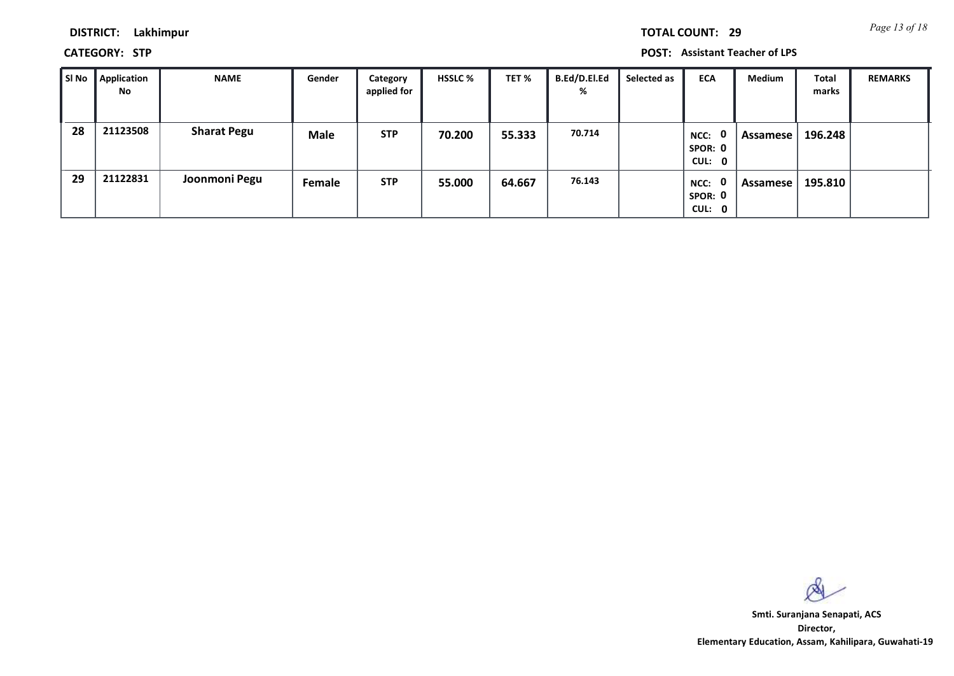*Page 13 of 18* **TOTAL COUNT: 29**

**DISTRICT: Lakhimpur**

**CATEGORY: STP POST: Assistant Teacher of LPS**

| SI No | Application<br>No | <b>NAME</b>        | Gender      | Category<br>applied for | <b>HSSLC %</b> | TET %  | <b>B.Ed/D.El.Ed</b><br>% | Selected as | <b>ECA</b>                       | <b>Medium</b> | Total<br>marks | <b>REMARKS</b> |
|-------|-------------------|--------------------|-------------|-------------------------|----------------|--------|--------------------------|-------------|----------------------------------|---------------|----------------|----------------|
| 28    | 21123508          | <b>Sharat Pegu</b> | <b>Male</b> | <b>STP</b>              | 70.200         | 55.333 | 70.714                   |             | - 0<br>NCC:<br>SPOR: 0<br>CUL: 0 | Assamese      | 196.248        |                |
| 29    | 21122831          | Joonmoni Pegu      | Female      | <b>STP</b>              | 55.000         | 64.667 | 76.143                   |             | - 0<br>NCC:<br>SPOR: 0<br>CUL: 0 | Assamese      | 195.810        |                |

 $\infty$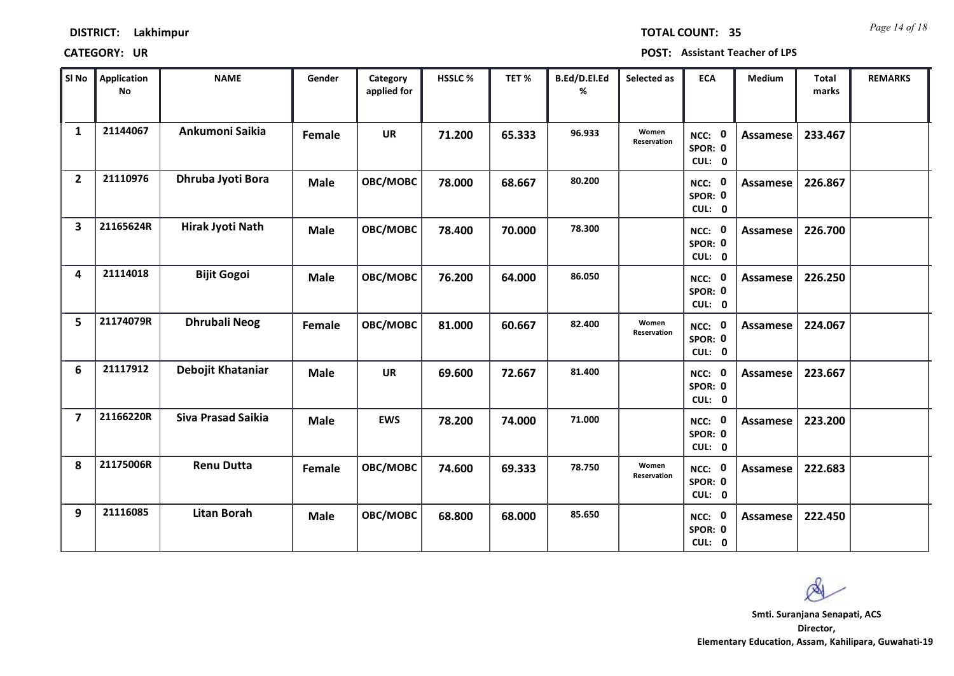| SI No                   | <b>Application</b><br><b>No</b> | <b>NAME</b>          | Gender      | Category<br>applied for | <b>HSSLC%</b> | TET %  | B.Ed/D.El.Ed<br>% | Selected as          | <b>ECA</b>                  | Medium          | Total<br>marks | <b>REMARKS</b> |
|-------------------------|---------------------------------|----------------------|-------------|-------------------------|---------------|--------|-------------------|----------------------|-----------------------------|-----------------|----------------|----------------|
| $\mathbf{1}$            | 21144067                        | Ankumoni Saikia      | Female      | <b>UR</b>               | 71.200        | 65.333 | 96.933            | Women<br>Reservation | NCC: 0<br>SPOR: 0<br>CUL: 0 | Assamese        | 233.467        |                |
| $\overline{2}$          | 21110976                        | Dhruba Jyoti Bora    | <b>Male</b> | OBC/MOBC                | 78.000        | 68.667 | 80.200            |                      | NCC: 0<br>SPOR: 0<br>CUL: 0 | Assamese        | 226.867        |                |
| $\overline{\mathbf{3}}$ | 21165624R                       | Hirak Jyoti Nath     | <b>Male</b> | OBC/MOBC                | 78.400        | 70.000 | 78.300            |                      | NCC: 0<br>SPOR: 0<br>CUL: 0 | <b>Assamese</b> | 226.700        |                |
| 4                       | 21114018                        | <b>Bijit Gogoi</b>   | <b>Male</b> | OBC/MOBC                | 76.200        | 64.000 | 86.050            |                      | NCC: 0<br>SPOR: 0<br>CUL: 0 | Assamese        | 226.250        |                |
| 5                       | 21174079R                       | <b>Dhrubali Neog</b> | Female      | OBC/MOBC                | 81.000        | 60.667 | 82.400            | Women<br>Reservation | NCC: 0<br>SPOR: 0<br>CUL: 0 | <b>Assamese</b> | 224.067        |                |
| 6                       | 21117912                        | Debojit Khataniar    | <b>Male</b> | <b>UR</b>               | 69.600        | 72.667 | 81.400            |                      | NCC: 0<br>SPOR: 0<br>CUL: 0 | <b>Assamese</b> | 223.667        |                |
| $\overline{7}$          | 21166220R                       | Siva Prasad Saikia   | <b>Male</b> | <b>EWS</b>              | 78.200        | 74.000 | 71.000            |                      | NCC: 0<br>SPOR: 0<br>CUL: 0 | <b>Assamese</b> | 223.200        |                |
| 8                       | 21175006R                       | <b>Renu Dutta</b>    | Female      | OBC/MOBC                | 74.600        | 69.333 | 78.750            | Women<br>Reservation | NCC: 0<br>SPOR: 0<br>CUL: 0 | <b>Assamese</b> | 222.683        |                |
| 9                       | 21116085                        | <b>Litan Borah</b>   | <b>Male</b> | OBC/MOBC                | 68.800        | 68.000 | 85.650            |                      | NCC: 0<br>SPOR: 0<br>CUL: 0 | <b>Assamese</b> | 222.450        |                |

 $\infty$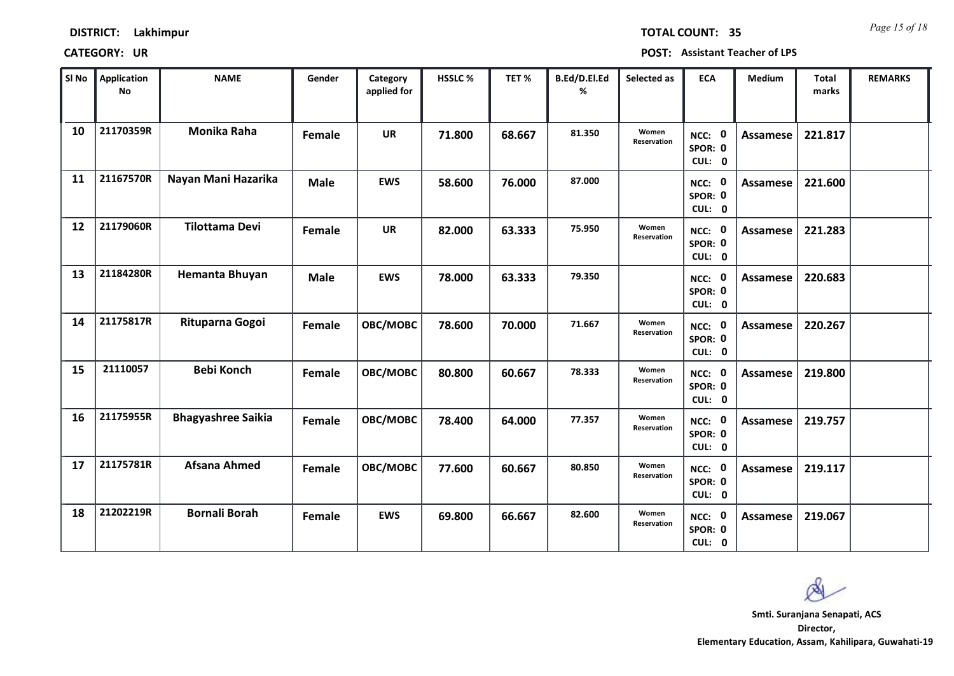| SI No | <b>Application</b><br>No | <b>NAME</b>               | Gender      | Category<br>applied for | <b>HSSLC %</b> | TET %  | B.Ed/D.El.Ed<br>% | Selected as          | <b>ECA</b>                  | <b>Medium</b>   | <b>Total</b><br>marks | <b>REMARKS</b> |
|-------|--------------------------|---------------------------|-------------|-------------------------|----------------|--------|-------------------|----------------------|-----------------------------|-----------------|-----------------------|----------------|
| 10    | 21170359R                | <b>Monika Raha</b>        | Female      | <b>UR</b>               | 71.800         | 68.667 | 81.350            | Women<br>Reservation | NCC: 0<br>SPOR: 0<br>CUL: 0 | <b>Assamese</b> | 221.817               |                |
| 11    | 21167570R                | Nayan Mani Hazarika       | <b>Male</b> | <b>EWS</b>              | 58.600         | 76.000 | 87.000            |                      | NCC: 0<br>SPOR: 0<br>CUL: 0 | Assamese        | 221.600               |                |
| 12    | 21179060R                | <b>Tilottama Devi</b>     | Female      | <b>UR</b>               | 82.000         | 63.333 | 75.950            | Women<br>Reservation | NCC: 0<br>SPOR: 0<br>CUL: 0 | Assamese        | 221.283               |                |
| 13    | 21184280R                | <b>Hemanta Bhuyan</b>     | <b>Male</b> | <b>EWS</b>              | 78.000         | 63.333 | 79.350            |                      | NCC: 0<br>SPOR: 0<br>CUL: 0 | Assamese        | 220.683               |                |
| 14    | 21175817R                | Rituparna Gogoi           | Female      | OBC/MOBC                | 78.600         | 70.000 | 71.667            | Women<br>Reservation | NCC: 0<br>SPOR: 0<br>CUL: 0 | <b>Assamese</b> | 220.267               |                |
| 15    | 21110057                 | <b>Bebi Konch</b>         | Female      | OBC/MOBC                | 80.800         | 60.667 | 78.333            | Women<br>Reservation | NCC: 0<br>SPOR: 0<br>CUL: 0 | <b>Assamese</b> | 219.800               |                |
| 16    | 21175955R                | <b>Bhagyashree Saikia</b> | Female      | OBC/MOBC                | 78.400         | 64.000 | 77.357            | Women<br>Reservation | NCC: 0<br>SPOR: 0<br>CUL: 0 | Assamese        | 219.757               |                |
| 17    | 21175781R                | <b>Afsana Ahmed</b>       | Female      | OBC/MOBC                | 77.600         | 60.667 | 80.850            | Women<br>Reservation | NCC: 0<br>SPOR: 0<br>CUL: 0 | Assamese        | 219.117               |                |
| 18    | 21202219R                | <b>Bornali Borah</b>      | Female      | <b>EWS</b>              | 69.800         | 66.667 | 82.600            | Women<br>Reservation | NCC: 0<br>SPOR: 0<br>CUL: 0 | Assamese        | 219.067               |                |

 $\infty$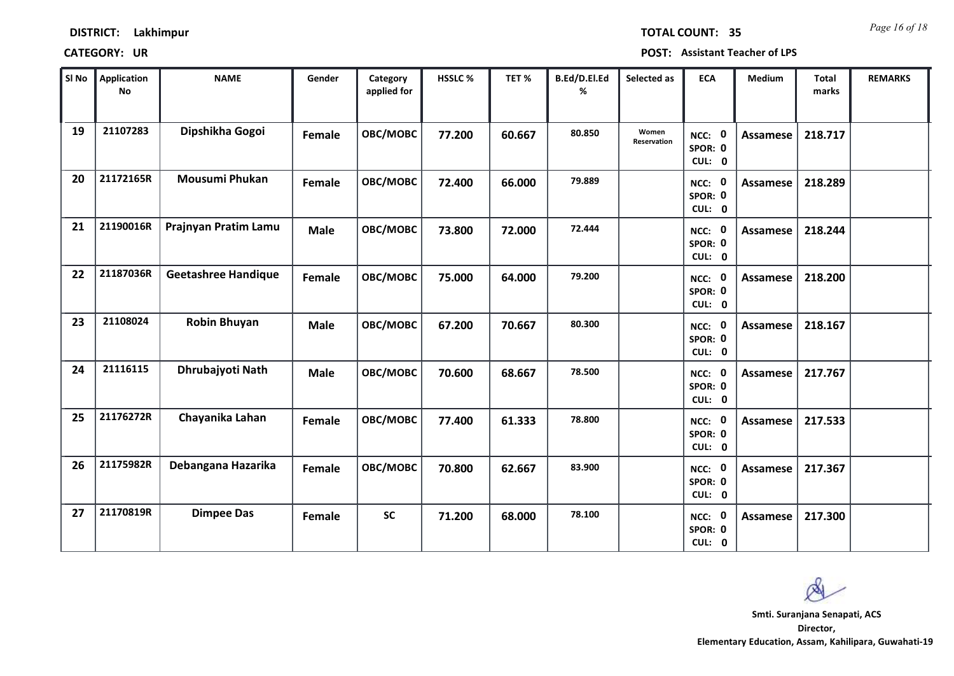| SI No | <b>Application</b><br><b>No</b> | <b>NAME</b>                | Gender      | Category<br>applied for | <b>HSSLC %</b> | TET %  | B.Ed/D.El.Ed<br>% | Selected as          | <b>ECA</b>                  | <b>Medium</b>   | <b>Total</b><br>marks | <b>REMARKS</b> |
|-------|---------------------------------|----------------------------|-------------|-------------------------|----------------|--------|-------------------|----------------------|-----------------------------|-----------------|-----------------------|----------------|
| 19    | 21107283                        | Dipshikha Gogoi            | Female      | OBC/MOBC                | 77.200         | 60.667 | 80.850            | Women<br>Reservation | NCC: 0<br>SPOR: 0<br>CUL: 0 | <b>Assamese</b> | 218.717               |                |
| 20    | 21172165R                       | Mousumi Phukan             | Female      | OBC/MOBC                | 72.400         | 66.000 | 79.889            |                      | NCC: 0<br>SPOR: 0<br>CUL: 0 | Assamese        | 218.289               |                |
| 21    | 21190016R                       | Prajnyan Pratim Lamu       | <b>Male</b> | OBC/MOBC                | 73.800         | 72.000 | 72.444            |                      | NCC: 0<br>SPOR: 0<br>CUL: 0 | <b>Assamese</b> | 218.244               |                |
| 22    | 21187036R                       | <b>Geetashree Handique</b> | Female      | OBC/MOBC                | 75.000         | 64.000 | 79.200            |                      | NCC: 0<br>SPOR: 0<br>CUL: 0 | <b>Assamese</b> | 218.200               |                |
| 23    | 21108024                        | <b>Robin Bhuyan</b>        | <b>Male</b> | OBC/MOBC                | 67.200         | 70.667 | 80.300            |                      | NCC: 0<br>SPOR: 0<br>CUL: 0 | <b>Assamese</b> | 218.167               |                |
| 24    | 21116115                        | Dhrubajyoti Nath           | <b>Male</b> | OBC/MOBC                | 70.600         | 68.667 | 78.500            |                      | NCC: 0<br>SPOR: 0<br>CUL: 0 | <b>Assamese</b> | 217.767               |                |
| 25    | 21176272R                       | Chayanika Lahan            | Female      | <b>OBC/MOBC</b>         | 77.400         | 61.333 | 78.800            |                      | NCC: 0<br>SPOR: 0<br>CUL: 0 | <b>Assamese</b> | 217.533               |                |
| 26    | 21175982R                       | Debangana Hazarika         | Female      | OBC/MOBC                | 70.800         | 62.667 | 83.900            |                      | NCC: 0<br>SPOR: 0<br>CUL: 0 | <b>Assamese</b> | 217.367               |                |
| 27    | 21170819R                       | <b>Dimpee Das</b>          | Female      | <b>SC</b>               | 71.200         | 68.000 | 78.100            |                      | NCC: 0<br>SPOR: 0<br>CUL: 0 | Assamese        | 217.300               |                |

Ø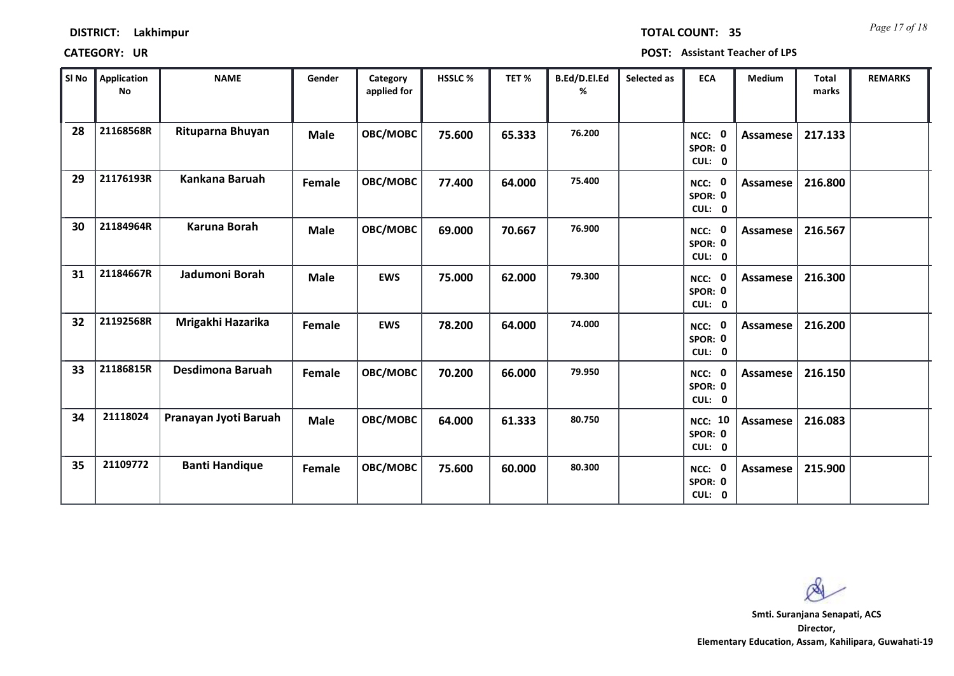| SI No | <b>Application</b><br>No | <b>NAME</b>           | Gender      | Category<br>applied for | HSSLC % | TET %  | B.Ed/D.El.Ed<br>% | Selected as | <b>ECA</b>                          | Medium          | <b>Total</b><br>marks | <b>REMARKS</b> |
|-------|--------------------------|-----------------------|-------------|-------------------------|---------|--------|-------------------|-------------|-------------------------------------|-----------------|-----------------------|----------------|
| 28    | 21168568R                | Rituparna Bhuyan      | <b>Male</b> | OBC/MOBC                | 75.600  | 65.333 | 76.200            |             | NCC: 0<br>SPOR: 0<br>CUL: 0         | Assamese        | 217.133               |                |
| 29    | 21176193R                | Kankana Baruah        | Female      | OBC/MOBC                | 77.400  | 64.000 | 75.400            |             | NCC: 0<br>SPOR: 0<br>CUL: 0         | Assamese        | 216.800               |                |
| 30    | 21184964R                | Karuna Borah          | <b>Male</b> | OBC/MOBC                | 69.000  | 70.667 | 76.900            |             | NCC: 0<br>SPOR: 0<br>CUL: 0         | <b>Assamese</b> | 216.567               |                |
| 31    | 21184667R                | Jadumoni Borah        | <b>Male</b> | <b>EWS</b>              | 75.000  | 62.000 | 79.300            |             | NCC: 0<br>SPOR: 0<br>CUL: 0         | <b>Assamese</b> | 216.300               |                |
| 32    | 21192568R                | Mrigakhi Hazarika     | Female      | <b>EWS</b>              | 78.200  | 64.000 | 74.000            |             | NCC: 0<br>SPOR: 0<br>CUL: 0         | <b>Assamese</b> | 216.200               |                |
| 33    | 21186815R                | Desdimona Baruah      | Female      | OBC/MOBC                | 70.200  | 66.000 | 79.950            |             | NCC: 0<br>SPOR: 0<br>CUL: 0         | <b>Assamese</b> | 216.150               |                |
| 34    | 21118024                 | Pranayan Jyoti Baruah | <b>Male</b> | OBC/MOBC                | 64.000  | 61.333 | 80.750            |             | <b>NCC: 10</b><br>SPOR: 0<br>CUL: 0 | Assamese        | 216.083               |                |
| 35    | 21109772                 | <b>Banti Handique</b> | Female      | OBC/MOBC                | 75.600  | 60.000 | 80.300            |             | NCC: 0<br>SPOR: 0<br>CUL: 0         | Assamese        | 215.900               |                |

 $\infty$